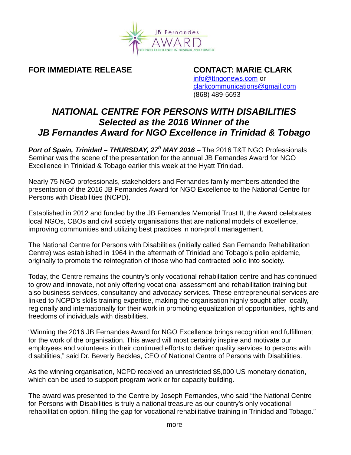

**FOR IMMEDIATE RELEASE CONTACT: MARIE CLARK**

[info@ttngonews.com](mailto:info@ttngonews.com) or [clarkcommunications@gmail.com](mailto:clarkcommunications@gmail.com)  (868) 489-5693

## *NATIONAL CENTRE FOR PERSONS WITH DISABILITIES Selected as the 2016 Winner of the JB Fernandes Award for NGO Excellence in Trinidad & Tobago*

*Port of Spain, Trinidad – THURSDAY, 27<sup>h</sup> MAY 2016* – The 2016 T&T NGO Professionals Seminar was the scene of the presentation for the annual JB Fernandes Award for NGO Excellence in Trinidad & Tobago earlier this week at the Hyatt Trinidad.

Nearly 75 NGO professionals, stakeholders and Fernandes family members attended the presentation of the 2016 JB Fernandes Award for NGO Excellence to the National Centre for Persons with Disabilities (NCPD).

Established in 2012 and funded by the JB Fernandes Memorial Trust II, the Award celebrates local NGOs, CBOs and civil society organisations that are national models of excellence, improving communities and utilizing best practices in non-profit management.

The National Centre for Persons with Disabilities (initially called San Fernando Rehabilitation Centre) was established in 1964 in the aftermath of Trinidad and Tobago's polio epidemic, originally to promote the reintegration of those who had contracted polio into society.

Today, the Centre remains the country's only vocational rehabilitation centre and has continued to grow and innovate, not only offering vocational assessment and rehabilitation training but also business services, consultancy and advocacy services. These entrepreneurial services are linked to NCPD's skills training expertise, making the organisation highly sought after locally, regionally and internationally for their work in promoting equalization of opportunities, rights and freedoms of individuals with disabilities.

"Winning the 2016 JB Fernandes Award for NGO Excellence brings recognition and fulfillment for the work of the organisation. This award will most certainly inspire and motivate our employees and volunteers in their continued efforts to deliver quality services to persons with disabilities," said Dr. Beverly Beckles, CEO of National Centre of Persons with Disabilities.

As the winning organisation, NCPD received an unrestricted \$5,000 US monetary donation, which can be used to support program work or for capacity building.

The award was presented to the Centre by Joseph Fernandes, who said "the National Centre for Persons with Disabilities is truly a national treasure as our country's only vocational rehabilitation option, filling the gap for vocational rehabilitative training in Trinidad and Tobago."